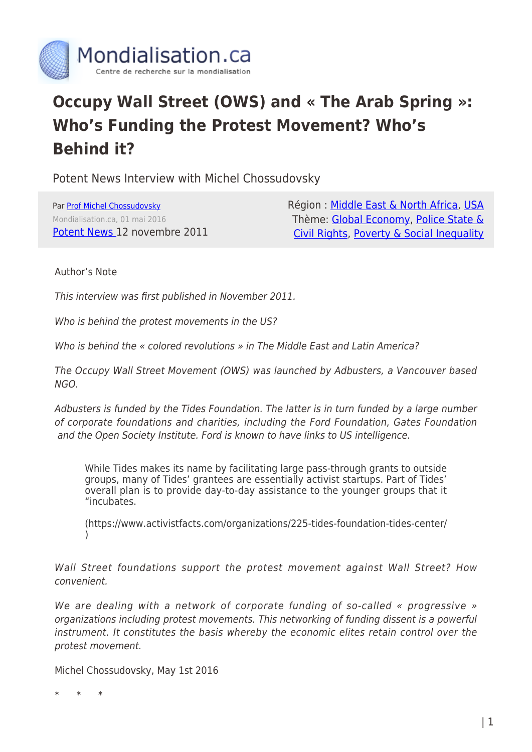

# **Occupy Wall Street (OWS) and « The Arab Spring »: Who's Funding the Protest Movement? Who's Behind it?**

Potent News Interview with Michel Chossudovsky

Par [Prof Michel Chossudovsky](https://www.mondialisation.ca/author/michel-chossudovsky) Mondialisation.ca, 01 mai 2016 [Potent News](http://www.naderlibrary.com/lit.potentnewschossudovskyows.htm) 12 novembre 2011 Région : [Middle East & North Africa,](https://www.mondialisation.ca/region/middle-east) [USA](https://www.mondialisation.ca/region/usa) Thème: [Global Economy](https://www.mondialisation.ca/theme/global-economy), [Police State &](https://www.mondialisation.ca/theme/police-state-civil-rights) [Civil Rights](https://www.mondialisation.ca/theme/police-state-civil-rights), [Poverty & Social Inequality](https://www.mondialisation.ca/theme/poverty-social-inequality)

# Author's Note

This interview was first published in November 2011.

Who is behind the protest movements in the US?

Who is behind the « colored revolutions » in The Middle East and Latin America?

The Occupy Wall Street Movement (OWS) was launched by Adbusters, a Vancouver based NGO.

Adbusters is funded by the Tides Foundation. The latter is in turn funded by a large number of corporate foundations and charities, including the Ford Foundation, Gates Foundation and the Open Society Institute. Ford is known to have links to US intelligence.

While Tides makes its name by facilitating large pass-through grants to outside groups, many of Tides' grantees are essentially activist startups. Part of Tides' overall plan is to provide day-to-day assistance to the younger groups that it "incubates.

(https://www.activistfacts.com/organizations/225-tides-foundation-tides-center/ )

Wall Street foundations support the protest movement against Wall Street? How convenient.

We are dealing with a network of corporate funding of so-called « progressive » organizations including protest movements. This networking of funding dissent is a powerful instrument. It constitutes the basis whereby the economic elites retain control over the protest movement.

Michel Chossudovsky, May 1st 2016

\* \* \*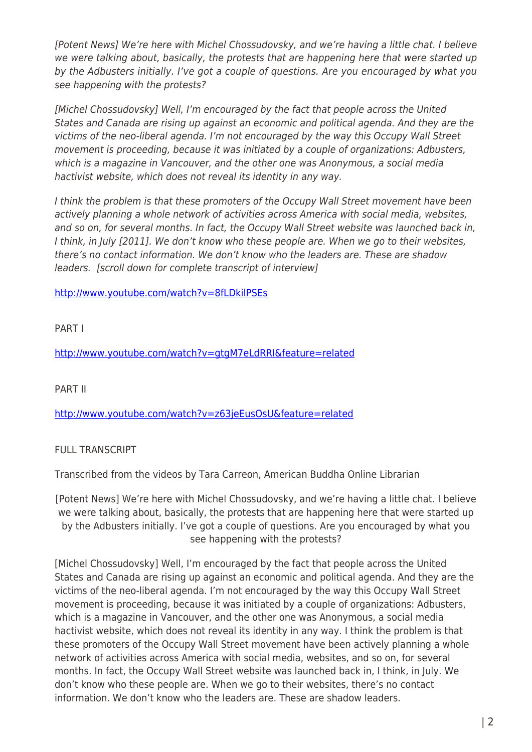[Potent News] We're here with Michel Chossudovsky, and we're having a little chat. I believe we were talking about, basically, the protests that are happening here that were started up by the Adbusters initially. I've got a couple of questions. Are you encouraged by what you see happening with the protests?

[Michel Chossudovsky] Well, I'm encouraged by the fact that people across the United States and Canada are rising up against an economic and political agenda. And they are the victims of the neo-liberal agenda. I'm not encouraged by the way this Occupy Wall Street movement is proceeding, because it was initiated by a couple of organizations: Adbusters, which is a magazine in Vancouver, and the other one was Anonymous, a social media hactivist website, which does not reveal its identity in any way.

I think the problem is that these promoters of the Occupy Wall Street movement have been actively planning a whole network of activities across America with social media, websites, and so on, for several months. In fact, the Occupy Wall Street website was launched back in, I think, in July [2011]. We don't know who these people are. When we go to their websites, there's no contact information. We don't know who the leaders are. These are shadow leaders. [scroll down for complete transcript of interview]

<http://www.youtube.com/watch?v=8fLDkilPSEs>

PART I

<http://www.youtube.com/watch?v=gtgM7eLdRRI&feature=related>

PART II

<http://www.youtube.com/watch?v=z63jeEusOsU&feature=related>

# FULL TRANSCRIPT

Transcribed from the videos by Tara Carreon, American Buddha Online Librarian

[Potent News] We're here with Michel Chossudovsky, and we're having a little chat. I believe we were talking about, basically, the protests that are happening here that were started up by the Adbusters initially. I've got a couple of questions. Are you encouraged by what you see happening with the protests?

[Michel Chossudovsky] Well, I'm encouraged by the fact that people across the United States and Canada are rising up against an economic and political agenda. And they are the victims of the neo-liberal agenda. I'm not encouraged by the way this Occupy Wall Street movement is proceeding, because it was initiated by a couple of organizations: Adbusters, which is a magazine in Vancouver, and the other one was Anonymous, a social media hactivist website, which does not reveal its identity in any way. I think the problem is that these promoters of the Occupy Wall Street movement have been actively planning a whole network of activities across America with social media, websites, and so on, for several months. In fact, the Occupy Wall Street website was launched back in, I think, in July. We don't know who these people are. When we go to their websites, there's no contact information. We don't know who the leaders are. These are shadow leaders.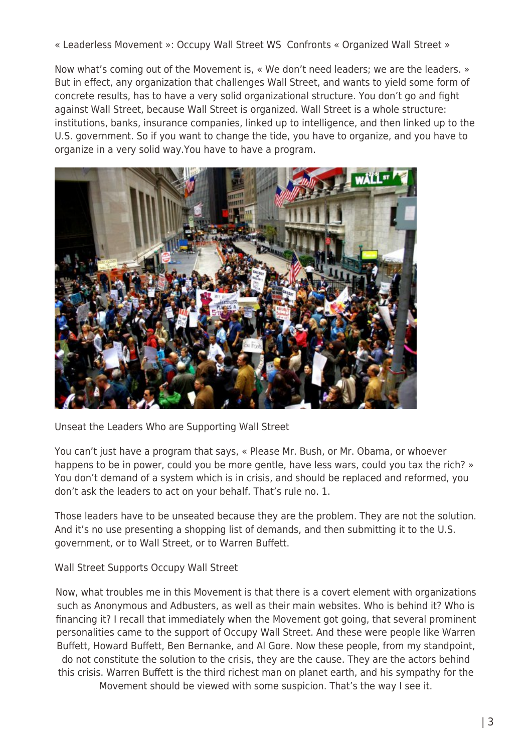« Leaderless Movement »: Occupy Wall Street WS Confronts « Organized Wall Street »

Now what's coming out of the Movement is, « We don't need leaders; we are the leaders. » But in effect, any organization that challenges Wall Street, and wants to yield some form of concrete results, has to have a very solid organizational structure. You don't go and fight against Wall Street, because Wall Street is organized. Wall Street is a whole structure: institutions, banks, insurance companies, linked up to intelligence, and then linked up to the U.S. government. So if you want to change the tide, you have to organize, and you have to organize in a very solid way.You have to have a program.



Unseat the Leaders Who are Supporting Wall Street

You can't just have a program that says, « Please Mr. Bush, or Mr. Obama, or whoever happens to be in power, could you be more gentle, have less wars, could you tax the rich? » You don't demand of a system which is in crisis, and should be replaced and reformed, you don't ask the leaders to act on your behalf. That's rule no. 1.

Those leaders have to be unseated because they are the problem. They are not the solution. And it's no use presenting a shopping list of demands, and then submitting it to the U.S. government, or to Wall Street, or to Warren Buffett.

Wall Street Supports Occupy Wall Street

Now, what troubles me in this Movement is that there is a covert element with organizations such as Anonymous and Adbusters, as well as their main websites. Who is behind it? Who is financing it? I recall that immediately when the Movement got going, that several prominent personalities came to the support of Occupy Wall Street. And these were people like Warren Buffett, Howard Buffett, Ben Bernanke, and Al Gore. Now these people, from my standpoint, do not constitute the solution to the crisis, they are the cause. They are the actors behind this crisis. Warren Buffett is the third richest man on planet earth, and his sympathy for the Movement should be viewed with some suspicion. That's the way I see it.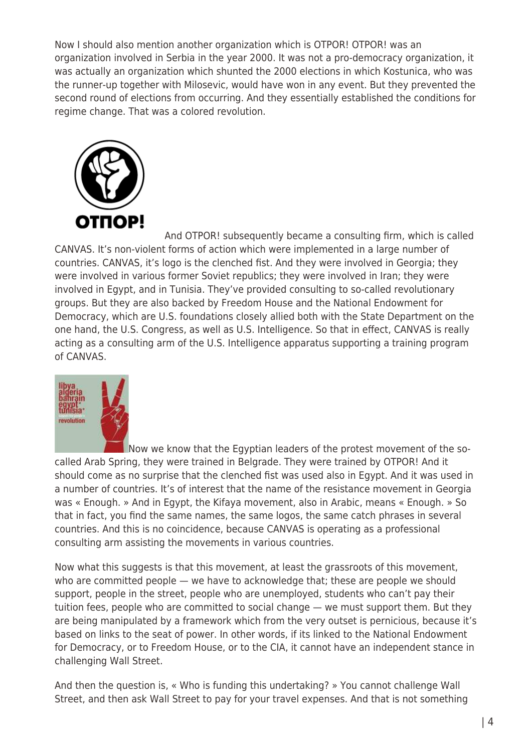Now I should also mention another organization which is OTPOR! OTPOR! was an organization involved in Serbia in the year 2000. It was not a pro-democracy organization, it was actually an organization which shunted the 2000 elections in which Kostunica, who was the runner-up together with Milosevic, would have won in any event. But they prevented the second round of elections from occurring. And they essentially established the conditions for regime change. That was a colored revolution.



And OTPOR! subsequently became a consulting firm, which is called CANVAS. It's non-violent forms of action which were implemented in a large number of countries. CANVAS, it's logo is the clenched fist. And they were involved in Georgia; they were involved in various former Soviet republics; they were involved in Iran; they were involved in Egypt, and in Tunisia. They've provided consulting to so-called revolutionary groups. But they are also backed by Freedom House and the National Endowment for Democracy, which are U.S. foundations closely allied both with the State Department on the one hand, the U.S. Congress, as well as U.S. Intelligence. So that in effect, CANVAS is really acting as a consulting arm of the U.S. Intelligence apparatus supporting a training program of CANVAS.



[N](http://www.globalresearch.ca/wp-content/uploads/2014/02/arablspring.jpg)ow we know that the Egyptian leaders of the protest movement of the socalled Arab Spring, they were trained in Belgrade. They were trained by OTPOR! And it should come as no surprise that the clenched fist was used also in Egypt. And it was used in a number of countries. It's of interest that the name of the resistance movement in Georgia was « Enough. » And in Egypt, the Kifaya movement, also in Arabic, means « Enough. » So that in fact, you find the same names, the same logos, the same catch phrases in several countries. And this is no coincidence, because CANVAS is operating as a professional consulting arm assisting the movements in various countries.

Now what this suggests is that this movement, at least the grassroots of this movement, who are committed people — we have to acknowledge that; these are people we should support, people in the street, people who are unemployed, students who can't pay their tuition fees, people who are committed to social change — we must support them. But they are being manipulated by a framework which from the very outset is pernicious, because it's based on links to the seat of power. In other words, if its linked to the National Endowment for Democracy, or to Freedom House, or to the CIA, it cannot have an independent stance in challenging Wall Street.

And then the question is, « Who is funding this undertaking? » You cannot challenge Wall Street, and then ask Wall Street to pay for your travel expenses. And that is not something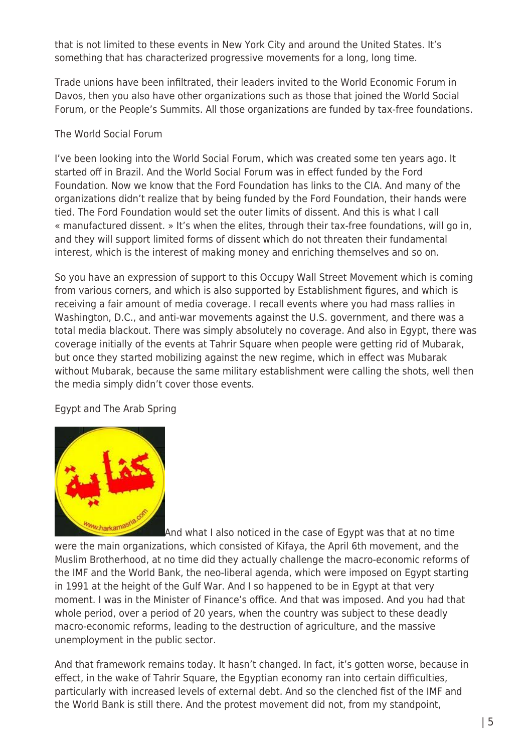that is not limited to these events in New York City and around the United States. It's something that has characterized progressive movements for a long, long time.

Trade unions have been infiltrated, their leaders invited to the World Economic Forum in Davos, then you also have other organizations such as those that joined the World Social Forum, or the People's Summits. All those organizations are funded by tax-free foundations.

# The World Social Forum

I've been looking into the World Social Forum, which was created some ten years ago. It started off in Brazil. And the World Social Forum was in effect funded by the Ford Foundation. Now we know that the Ford Foundation has links to the CIA. And many of the organizations didn't realize that by being funded by the Ford Foundation, their hands were tied. The Ford Foundation would set the outer limits of dissent. And this is what I call « manufactured dissent. » It's when the elites, through their tax-free foundations, will go in, and they will support limited forms of dissent which do not threaten their fundamental interest, which is the interest of making money and enriching themselves and so on.

So you have an expression of support to this Occupy Wall Street Movement which is coming from various corners, and which is also supported by Establishment figures, and which is receiving a fair amount of media coverage. I recall events where you had mass rallies in Washington, D.C., and anti-war movements against the U.S. government, and there was a total media blackout. There was simply absolutely no coverage. And also in Egypt, there was coverage initially of the events at Tahrir Square when people were getting rid of Mubarak, but once they started mobilizing against the new regime, which in effect was Mubarak without Mubarak, because the same military establishment were calling the shots, well then the media simply didn't cover those events.

# Egypt and The Arab Spring



And what I also noticed in the case of Egypt was that at no time were the main organizations, which consisted of Kifaya, the April 6th movement, and the Muslim Brotherhood, at no time did they actually challenge the macro-economic reforms of the IMF and the World Bank, the neo-liberal agenda, which were imposed on Egypt starting in 1991 at the height of the Gulf War. And I so happened to be in Egypt at that very moment. I was in the Minister of Finance's office. And that was imposed. And you had that whole period, over a period of 20 years, when the country was subject to these deadly macro-economic reforms, leading to the destruction of agriculture, and the massive unemployment in the public sector.

And that framework remains today. It hasn't changed. In fact, it's gotten worse, because in effect, in the wake of Tahrir Square, the Egyptian economy ran into certain difficulties, particularly with increased levels of external debt. And so the clenched fist of the IMF and the World Bank is still there. And the protest movement did not, from my standpoint,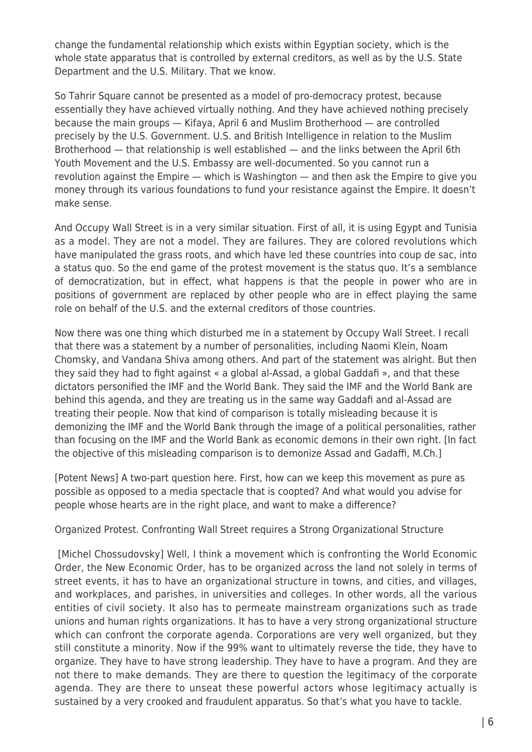change the fundamental relationship which exists within Egyptian society, which is the whole state apparatus that is controlled by external creditors, as well as by the U.S. State Department and the U.S. Military. That we know.

So Tahrir Square cannot be presented as a model of pro-democracy protest, because essentially they have achieved virtually nothing. And they have achieved nothing precisely because the main groups — Kifaya, April 6 and Muslim Brotherhood — are controlled precisely by the U.S. Government. U.S. and British Intelligence in relation to the Muslim Brotherhood — that relationship is well established — and the links between the April 6th Youth Movement and the U.S. Embassy are well-documented. So you cannot run a revolution against the Empire — which is Washington — and then ask the Empire to give you money through its various foundations to fund your resistance against the Empire. It doesn't make sense.

And Occupy Wall Street is in a very similar situation. First of all, it is using Egypt and Tunisia as a model. They are not a model. They are failures. They are colored revolutions which have manipulated the grass roots, and which have led these countries into coup de sac, into a status quo. So the end game of the protest movement is the status quo. It's a semblance of democratization, but in effect, what happens is that the people in power who are in positions of government are replaced by other people who are in effect playing the same role on behalf of the U.S. and the external creditors of those countries.

Now there was one thing which disturbed me in a statement by Occupy Wall Street. I recall that there was a statement by a number of personalities, including Naomi Klein, Noam Chomsky, and Vandana Shiva among others. And part of the statement was alright. But then they said they had to fight against « a global al-Assad, a global Gaddafi », and that these dictators personified the IMF and the World Bank. They said the IMF and the World Bank are behind this agenda, and they are treating us in the same way Gaddafi and al-Assad are treating their people. Now that kind of comparison is totally misleading because it is demonizing the IMF and the World Bank through the image of a political personalities, rather than focusing on the IMF and the World Bank as economic demons in their own right. [In fact the objective of this misleading comparison is to demonize Assad and Gadaffi, M.Ch.]

[Potent News] A two-part question here. First, how can we keep this movement as pure as possible as opposed to a media spectacle that is coopted? And what would you advise for people whose hearts are in the right place, and want to make a difference?

Organized Protest. Confronting Wall Street requires a Strong Organizational Structure

 [Michel Chossudovsky] Well, I think a movement which is confronting the World Economic Order, the New Economic Order, has to be organized across the land not solely in terms of street events, it has to have an organizational structure in towns, and cities, and villages, and workplaces, and parishes, in universities and colleges. In other words, all the various entities of civil society. It also has to permeate mainstream organizations such as trade unions and human rights organizations. It has to have a very strong organizational structure which can confront the corporate agenda. Corporations are very well organized, but they still constitute a minority. Now if the 99% want to ultimately reverse the tide, they have to organize. They have to have strong leadership. They have to have a program. And they are not there to make demands. They are there to question the legitimacy of the corporate agenda. They are there to unseat these powerful actors whose legitimacy actually is sustained by a very crooked and fraudulent apparatus. So that's what you have to tackle.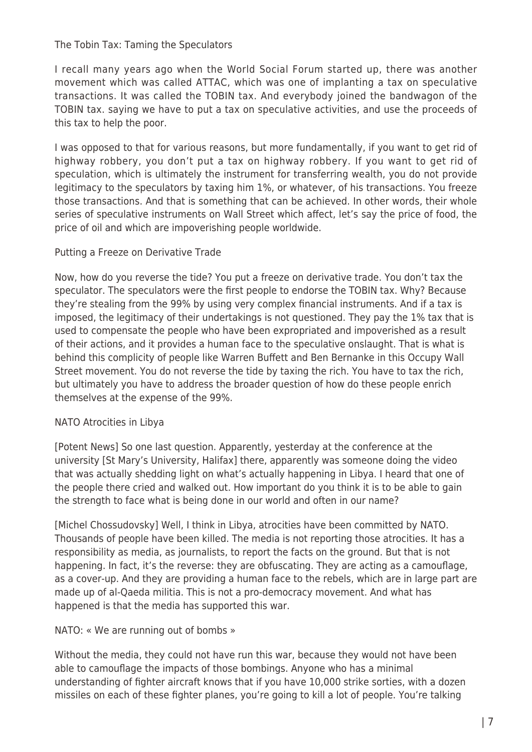#### The Tobin Tax: Taming the Speculators

I recall many years ago when the World Social Forum started up, there was another movement which was called ATTAC, which was one of implanting a tax on speculative transactions. It was called the TOBIN tax. And everybody joined the bandwagon of the TOBIN tax. saying we have to put a tax on speculative activities, and use the proceeds of this tax to help the poor.

I was opposed to that for various reasons, but more fundamentally, if you want to get rid of highway robbery, you don't put a tax on highway robbery. If you want to get rid of speculation, which is ultimately the instrument for transferring wealth, you do not provide legitimacy to the speculators by taxing him 1%, or whatever, of his transactions. You freeze those transactions. And that is something that can be achieved. In other words, their whole series of speculative instruments on Wall Street which affect, let's say the price of food, the price of oil and which are impoverishing people worldwide.

### Putting a Freeze on Derivative Trade

Now, how do you reverse the tide? You put a freeze on derivative trade. You don't tax the speculator. The speculators were the first people to endorse the TOBIN tax. Why? Because they're stealing from the 99% by using very complex financial instruments. And if a tax is imposed, the legitimacy of their undertakings is not questioned. They pay the 1% tax that is used to compensate the people who have been expropriated and impoverished as a result of their actions, and it provides a human face to the speculative onslaught. That is what is behind this complicity of people like Warren Buffett and Ben Bernanke in this Occupy Wall Street movement. You do not reverse the tide by taxing the rich. You have to tax the rich, but ultimately you have to address the broader question of how do these people enrich themselves at the expense of the 99%.

# NATO Atrocities in Libya

[Potent News] So one last question. Apparently, yesterday at the conference at the university [St Mary's University, Halifax] there, apparently was someone doing the video that was actually shedding light on what's actually happening in Libya. I heard that one of the people there cried and walked out. How important do you think it is to be able to gain the strength to face what is being done in our world and often in our name?

[Michel Chossudovsky] Well, I think in Libya, atrocities have been committed by NATO. Thousands of people have been killed. The media is not reporting those atrocities. It has a responsibility as media, as journalists, to report the facts on the ground. But that is not happening. In fact, it's the reverse: they are obfuscating. They are acting as a camouflage, as a cover-up. And they are providing a human face to the rebels, which are in large part are made up of al-Qaeda militia. This is not a pro-democracy movement. And what has happened is that the media has supported this war.

# NATO: « We are running out of bombs »

Without the media, they could not have run this war, because they would not have been able to camouflage the impacts of those bombings. Anyone who has a minimal understanding of fighter aircraft knows that if you have 10,000 strike sorties, with a dozen missiles on each of these fighter planes, you're going to kill a lot of people. You're talking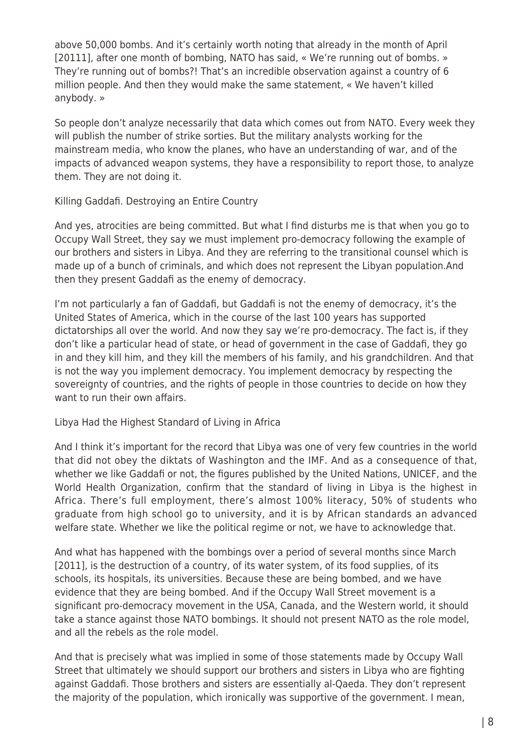above 50,000 bombs. And it's certainly worth noting that already in the month of April [20111], after one month of bombing, NATO has said, « We're running out of bombs. » They're running out of bombs?! That's an incredible observation against a country of 6 million people. And then they would make the same statement, « We haven't killed anybody. »

So people don't analyze necessarily that data which comes out from NATO. Every week they will publish the number of strike sorties. But the military analysts working for the mainstream media, who know the planes, who have an understanding of war, and of the impacts of advanced weapon systems, they have a responsibility to report those, to analyze them. They are not doing it.

Killing Gaddafi. Destroying an Entire Country

And yes, atrocities are being committed. But what I find disturbs me is that when you go to Occupy Wall Street, they say we must implement pro-democracy following the example of our brothers and sisters in Libya. And they are referring to the transitional counsel which is made up of a bunch of criminals, and which does not represent the Libyan population.And then they present Gaddafi as the enemy of democracy.

I'm not particularly a fan of Gaddafi, but Gaddafi is not the enemy of democracy, it's the United States of America, which in the course of the last 100 years has supported dictatorships all over the world. And now they say we're pro-democracy. The fact is, if they don't like a particular head of state, or head of government in the case of Gaddafi, they go in and they kill him, and they kill the members of his family, and his grandchildren. And that is not the way you implement democracy. You implement democracy by respecting the sovereignty of countries, and the rights of people in those countries to decide on how they want to run their own affairs.

Libya Had the Highest Standard of Living in Africa

And I think it's important for the record that Libya was one of very few countries in the world that did not obey the diktats of Washington and the IMF. And as a consequence of that, whether we like Gaddafi or not, the figures published by the United Nations, UNICEF, and the World Health Organization, confirm that the standard of living in Libya is the highest in Africa. There's full employment, there's almost 100% literacy, 50% of students who graduate from high school go to university, and it is by African standards an advanced welfare state. Whether we like the political regime or not, we have to acknowledge that.

And what has happened with the bombings over a period of several months since March [2011], is the destruction of a country, of its water system, of its food supplies, of its schools, its hospitals, its universities. Because these are being bombed, and we have evidence that they are being bombed. And if the Occupy Wall Street movement is a significant pro-democracy movement in the USA, Canada, and the Western world, it should take a stance against those NATO bombings. It should not present NATO as the role model, and all the rebels as the role model.

And that is precisely what was implied in some of those statements made by Occupy Wall Street that ultimately we should support our brothers and sisters in Libya who are fighting against Gaddafi. Those brothers and sisters are essentially al-Qaeda. They don't represent the majority of the population, which ironically was supportive of the government. I mean,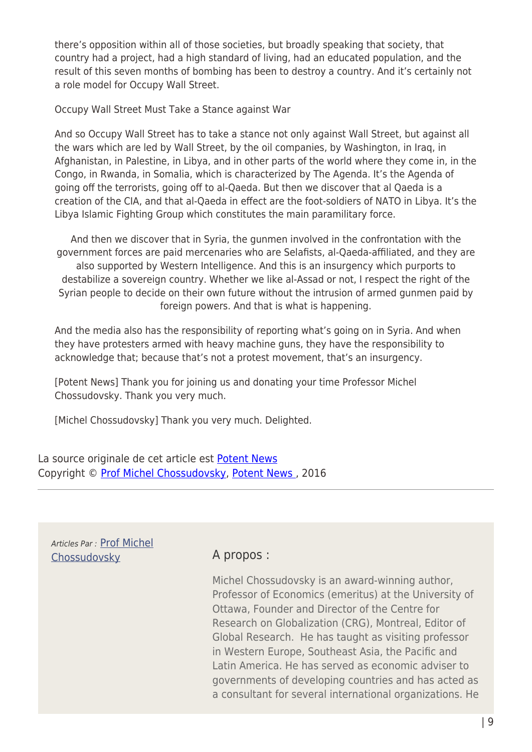there's opposition within all of those societies, but broadly speaking that society, that country had a project, had a high standard of living, had an educated population, and the result of this seven months of bombing has been to destroy a country. And it's certainly not a role model for Occupy Wall Street.

Occupy Wall Street Must Take a Stance against War

And so Occupy Wall Street has to take a stance not only against Wall Street, but against all the wars which are led by Wall Street, by the oil companies, by Washington, in Iraq, in Afghanistan, in Palestine, in Libya, and in other parts of the world where they come in, in the Congo, in Rwanda, in Somalia, which is characterized by The Agenda. It's the Agenda of going off the terrorists, going off to al-Qaeda. But then we discover that al Qaeda is a creation of the CIA, and that al-Qaeda in effect are the foot-soldiers of NATO in Libya. It's the Libya Islamic Fighting Group which constitutes the main paramilitary force.

And then we discover that in Syria, the gunmen involved in the confrontation with the government forces are paid mercenaries who are Selafists, al-Qaeda-affiliated, and they are also supported by Western Intelligence. And this is an insurgency which purports to destabilize a sovereign country. Whether we like al-Assad or not, I respect the right of the Syrian people to decide on their own future without the intrusion of armed gunmen paid by foreign powers. And that is what is happening.

And the media also has the responsibility of reporting what's going on in Syria. And when they have protesters armed with heavy machine guns, they have the responsibility to acknowledge that; because that's not a protest movement, that's an insurgency.

[Potent News] Thank you for joining us and donating your time Professor Michel Chossudovsky. Thank you very much.

[Michel Chossudovsky] Thank you very much. Delighted.

La source originale de cet article est [Potent News](http://www.naderlibrary.com/lit.potentnewschossudovskyows.htm) Copyright © [Prof Michel Chossudovsky](https://www.mondialisation.ca/author/michel-chossudovsky), [Potent News](http://www.naderlibrary.com/lit.potentnewschossudovskyows.htm) , 2016

Articles Par : [Prof Michel](https://www.mondialisation.ca/author/michel-chossudovsky) [Chossudovsky](https://www.mondialisation.ca/author/michel-chossudovsky) **A propos :** 

Michel Chossudovsky is an award-winning author, Professor of Economics (emeritus) at the University of Ottawa, Founder and Director of the Centre for Research on Globalization (CRG), Montreal, Editor of Global Research. He has taught as visiting professor in Western Europe, Southeast Asia, the Pacific and Latin America. He has served as economic adviser to governments of developing countries and has acted as a consultant for several international organizations. He